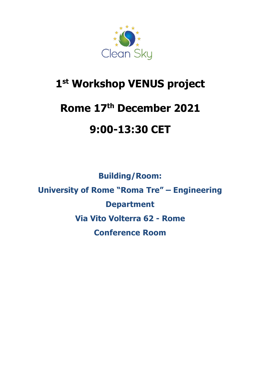

# **1 st Workshop VENUS project**

# **Rome 17th December 2021**

# **9:00-13:30 CET**

**Building/Room: University of Rome "Roma Tre" – Engineering Department Via Vito Volterra 62 - Rome Conference Room**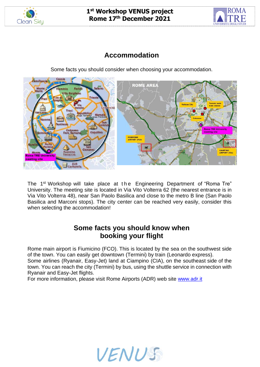



#### **Accommodation**

Some facts you should consider when choosing your accommodation.



The 1<sup>st</sup> Workshop will take place at the Engineering Department of "Roma Tre" University. The meeting site is located in Via Vito Volterra 62 (the nearest entrance is in Via Vito Volterra 48), near San Paolo Basilica and close to the metro B line (San Paolo Basilica and Marconi stops). The city center can be reached very easily, consider this when selecting the accommodation!

#### **Some facts you should know when booking your flight**

Rome main airport is Fiumicino (FCO). This is located by the sea on the southwest side of the town. You can easily get downtown (Termini) by train (Leonardo express). Some airlines (Ryanair, Easy-Jet) land at Ciampino (CIA), on the southeast side of the town. You can reach the city (Termini) by bus, using the shuttle service in connection with Ryanair and Easy-Jet flights.

For more information, please visit Rome Airports (ADR) web site [www.adr.it](http://www.adr.it/)

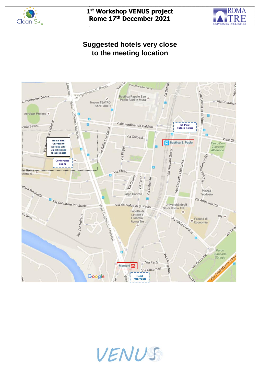



### **Suggested hotels very close to the meeting location**



VENUS